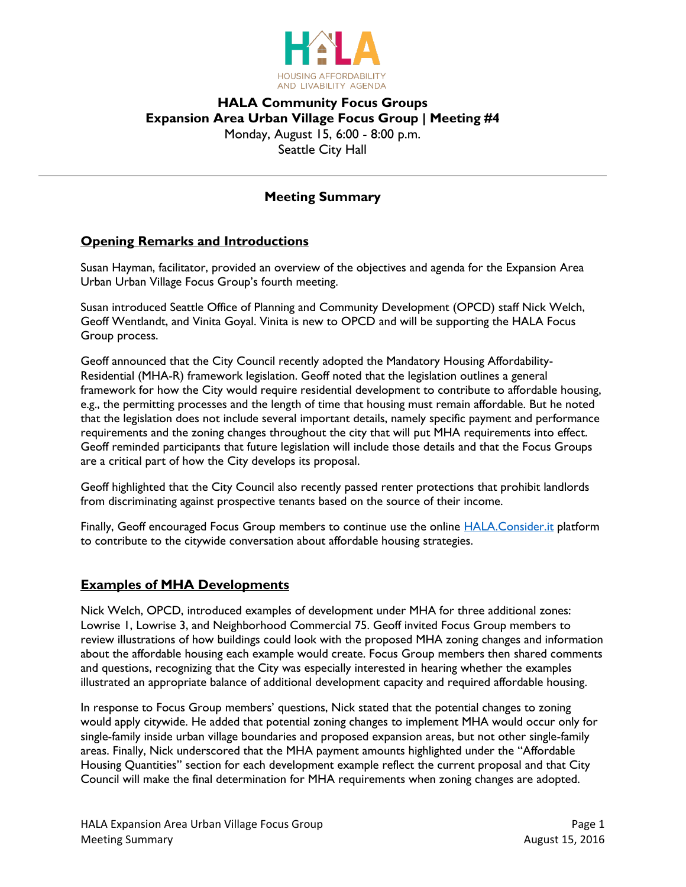

# **HALA Community Focus Groups Expansion Area Urban Village Focus Group | Meeting #4** Monday, August 15, 6:00 - 8:00 p.m. Seattle City Hall

## **Meeting Summary**

#### **Opening Remarks and Introductions**

Susan Hayman, facilitator, provided an overview of the objectives and agenda for the Expansion Area Urban Urban Village Focus Group's fourth meeting.

Susan introduced Seattle Office of Planning and Community Development (OPCD) staff Nick Welch, Geoff Wentlandt, and Vinita Goyal. Vinita is new to OPCD and will be supporting the HALA Focus Group process.

Geoff announced that the City Council recently adopted the Mandatory Housing Affordability-Residential (MHA-R) framework legislation. Geoff noted that the legislation outlines a general framework for how the City would require residential development to contribute to affordable housing, e.g., the permitting processes and the length of time that housing must remain affordable. But he noted that the legislation does not include several important details, namely specific payment and performance requirements and the zoning changes throughout the city that will put MHA requirements into effect. Geoff reminded participants that future legislation will include those details and that the Focus Groups are a critical part of how the City develops its proposal.

Geoff highlighted that the City Council also recently passed renter protections that prohibit landlords from discriminating against prospective tenants based on the source of their income.

Finally, Geoff encouraged Focus Group members to continue use the online **HALA.Consider.it platform** to contribute to the citywide conversation about affordable housing strategies.

#### **Examples of MHA Developments**

Nick Welch, OPCD, introduced examples of development under MHA for three additional zones: Lowrise 1, Lowrise 3, and Neighborhood Commercial 75. Geoff invited Focus Group members to review illustrations of how buildings could look with the proposed MHA zoning changes and information about the affordable housing each example would create. Focus Group members then shared comments and questions, recognizing that the City was especially interested in hearing whether the examples illustrated an appropriate balance of additional development capacity and required affordable housing.

In response to Focus Group members' questions, Nick stated that the potential changes to zoning would apply citywide. He added that potential zoning changes to implement MHA would occur only for single-family inside urban village boundaries and proposed expansion areas, but not other single-family areas. Finally, Nick underscored that the MHA payment amounts highlighted under the "Affordable Housing Quantities" section for each development example reflect the current proposal and that City Council will make the final determination for MHA requirements when zoning changes are adopted.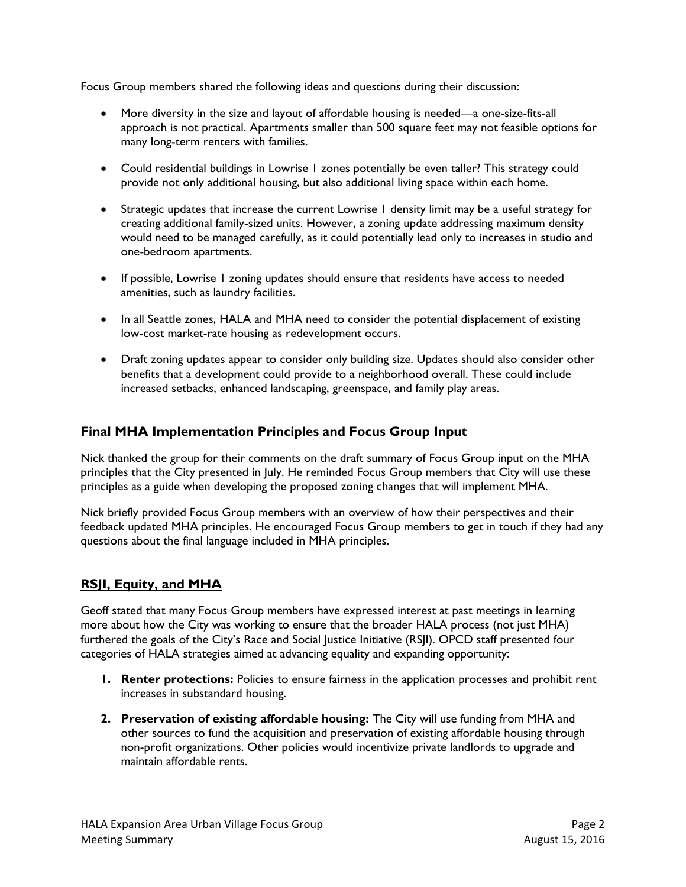Focus Group members shared the following ideas and questions during their discussion:

- More diversity in the size and layout of affordable housing is needed—a one-size-fits-all approach is not practical. Apartments smaller than 500 square feet may not feasible options for many long-term renters with families.
- Could residential buildings in Lowrise 1 zones potentially be even taller? This strategy could provide not only additional housing, but also additional living space within each home.
- Strategic updates that increase the current Lowrise 1 density limit may be a useful strategy for creating additional family-sized units. However, a zoning update addressing maximum density would need to be managed carefully, as it could potentially lead only to increases in studio and one-bedroom apartments.
- If possible, Lowrise 1 zoning updates should ensure that residents have access to needed amenities, such as laundry facilities.
- In all Seattle zones, HALA and MHA need to consider the potential displacement of existing low-cost market-rate housing as redevelopment occurs.
- Draft zoning updates appear to consider only building size. Updates should also consider other benefits that a development could provide to a neighborhood overall. These could include increased setbacks, enhanced landscaping, greenspace, and family play areas.

# **Final MHA Implementation Principles and Focus Group Input**

Nick thanked the group for their comments on the draft summary of Focus Group input on the MHA principles that the City presented in July. He reminded Focus Group members that City will use these principles as a guide when developing the proposed zoning changes that will implement MHA.

Nick briefly provided Focus Group members with an overview of how their perspectives and their feedback updated MHA principles. He encouraged Focus Group members to get in touch if they had any questions about the final language included in MHA principles.

## **RSJI, Equity, and MHA**

Geoff stated that many Focus Group members have expressed interest at past meetings in learning more about how the City was working to ensure that the broader HALA process (not just MHA) furthered the goals of the City's Race and Social Justice Initiative (RSJI). OPCD staff presented four categories of HALA strategies aimed at advancing equality and expanding opportunity:

- **1. Renter protections:** Policies to ensure fairness in the application processes and prohibit rent increases in substandard housing.
- **2. Preservation of existing affordable housing:** The City will use funding from MHA and other sources to fund the acquisition and preservation of existing affordable housing through non-profit organizations. Other policies would incentivize private landlords to upgrade and maintain affordable rents.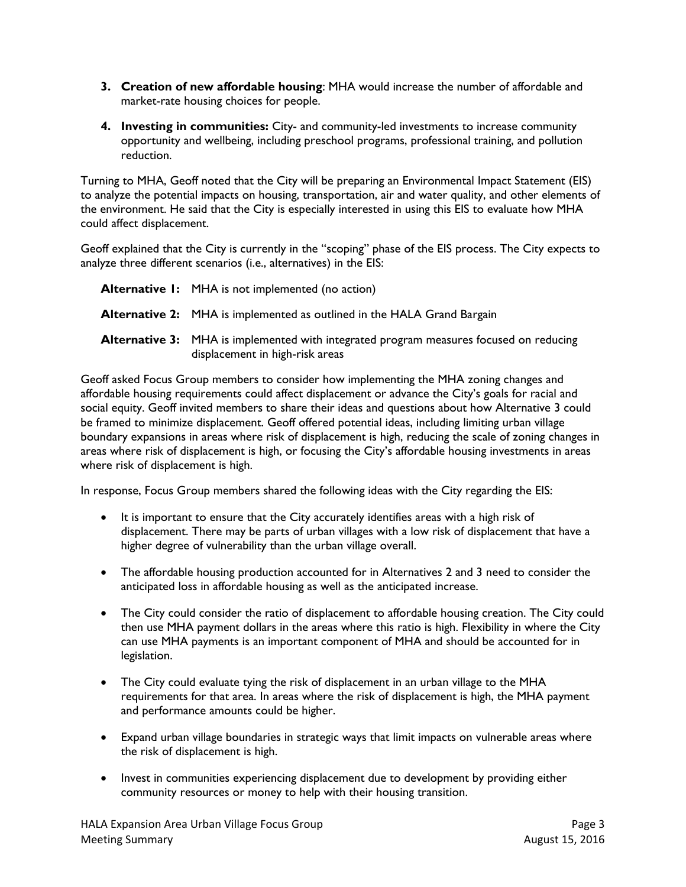- **3. Creation of new affordable housing**: MHA would increase the number of affordable and market-rate housing choices for people.
- **4. Investing in communities:** City- and community-led investments to increase community opportunity and wellbeing, including preschool programs, professional training, and pollution reduction.

Turning to MHA, Geoff noted that the City will be preparing an Environmental Impact Statement (EIS) to analyze the potential impacts on housing, transportation, air and water quality, and other elements of the environment. He said that the City is especially interested in using this EIS to evaluate how MHA could affect displacement.

Geoff explained that the City is currently in the "scoping" phase of the EIS process. The City expects to analyze three different scenarios (i.e., alternatives) in the EIS:

| <b>Alternative I:</b> MHA is not implemented (no action)                                                                         |
|----------------------------------------------------------------------------------------------------------------------------------|
| Alternative 2: MHA is implemented as outlined in the HALA Grand Bargain                                                          |
| <b>Alternative 3:</b> MHA is implemented with integrated program measures focused on reducing<br>displacement in high-risk areas |

Geoff asked Focus Group members to consider how implementing the MHA zoning changes and affordable housing requirements could affect displacement or advance the City's goals for racial and social equity. Geoff invited members to share their ideas and questions about how Alternative 3 could be framed to minimize displacement. Geoff offered potential ideas, including limiting urban village boundary expansions in areas where risk of displacement is high, reducing the scale of zoning changes in areas where risk of displacement is high, or focusing the City's affordable housing investments in areas where risk of displacement is high.

In response, Focus Group members shared the following ideas with the City regarding the EIS:

- It is important to ensure that the City accurately identifies areas with a high risk of displacement. There may be parts of urban villages with a low risk of displacement that have a higher degree of vulnerability than the urban village overall.
- The affordable housing production accounted for in Alternatives 2 and 3 need to consider the anticipated loss in affordable housing as well as the anticipated increase.
- The City could consider the ratio of displacement to affordable housing creation. The City could then use MHA payment dollars in the areas where this ratio is high. Flexibility in where the City can use MHA payments is an important component of MHA and should be accounted for in legislation.
- The City could evaluate tying the risk of displacement in an urban village to the MHA requirements for that area. In areas where the risk of displacement is high, the MHA payment and performance amounts could be higher.
- Expand urban village boundaries in strategic ways that limit impacts on vulnerable areas where the risk of displacement is high.
- Invest in communities experiencing displacement due to development by providing either community resources or money to help with their housing transition.

HALA Expansion Area Urban Village Focus Group **Page 3** and the state of the Page 3 Meeting Summary **August 15, 2016** Meeting Summary August 15, 2016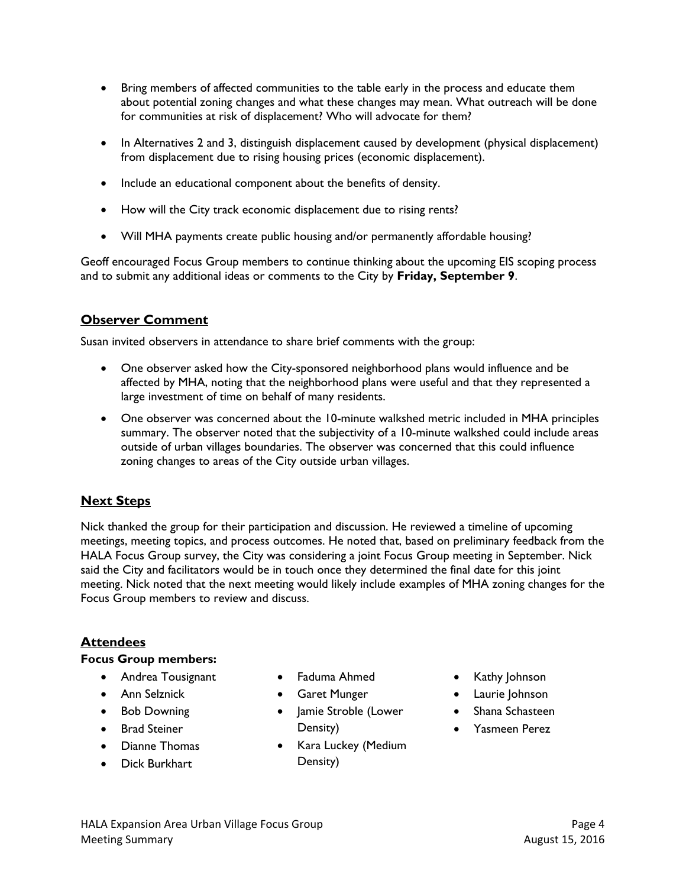- Bring members of affected communities to the table early in the process and educate them about potential zoning changes and what these changes may mean. What outreach will be done for communities at risk of displacement? Who will advocate for them?
- In Alternatives 2 and 3, distinguish displacement caused by development (physical displacement) from displacement due to rising housing prices (economic displacement).
- Include an educational component about the benefits of density.
- How will the City track economic displacement due to rising rents?
- Will MHA payments create public housing and/or permanently affordable housing?

Geoff encouraged Focus Group members to continue thinking about the upcoming EIS scoping process and to submit any additional ideas or comments to the City by **Friday, September 9**.

## **Observer Comment**

Susan invited observers in attendance to share brief comments with the group:

- One observer asked how the City-sponsored neighborhood plans would influence and be affected by MHA, noting that the neighborhood plans were useful and that they represented a large investment of time on behalf of many residents.
- One observer was concerned about the 10-minute walkshed metric included in MHA principles summary. The observer noted that the subjectivity of a 10-minute walkshed could include areas outside of urban villages boundaries. The observer was concerned that this could influence zoning changes to areas of the City outside urban villages.

## **Next Steps**

Nick thanked the group for their participation and discussion. He reviewed a timeline of upcoming meetings, meeting topics, and process outcomes. He noted that, based on preliminary feedback from the HALA Focus Group survey, the City was considering a joint Focus Group meeting in September. Nick said the City and facilitators would be in touch once they determined the final date for this joint meeting. Nick noted that the next meeting would likely include examples of MHA zoning changes for the Focus Group members to review and discuss.

#### **Attendees**

#### **Focus Group members:**

- **•** Andrea Tousignant
- Ann Selznick
- Bob Downing
- Brad Steiner
- Dianne Thomas
- Dick Burkhart
- Faduma Ahmed
- Garet Munger
- Jamie Stroble (Lower Density)
- Kara Luckey (Medium Density)
- Kathy Johnson
- Laurie Johnson
- Shana Schasteen
- Yasmeen Perez